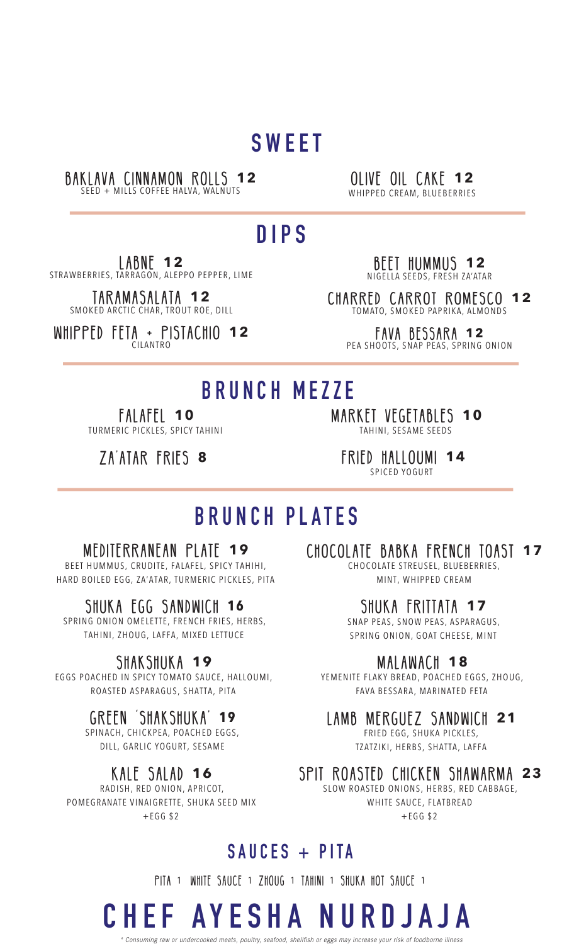## **SWEET**

### BAKLAVA CINNAMON ROLLS **12**

SEED + MILLS COFFEE HALVA, WALNUTS

#### OLIVE OIL CAKE **12** WHIPPED CREAM, BLUEBERRIES

## **DIPS**

LABNE **12** STRAWBERRIES, TARRAGON, ALEPPO PEPPER, LIME

> TARAMASALATA **12** SMOKED ARCTIC CHAR, TROUT ROE, DILL

WHIPPED FETA + PISTACHIO **12** CILANTRO

BEET HUMMUS **12** NIGELLA SEEDS, FRESH ZA'ATAR

CHARRED CARROT ROMESCO **12** TOMATO, SMOKED PAPRIKA, ALMONDS

FAVA BESSARA **12** PEA SHOOTS, SNAP PEAS, SPRING ONION

## **BRUNCH MEZZE**

FALAFEL **10** TURMERIC PICKLES, SPICY TAHINI

ZA'ATAR FRIES **8**

MARKET VEGETABLES **10** TAHINI, SESAME SEEDS

FRIED HALLOUMI **14** SPICED YOGURT

## **BRUNCH PLATES**

#### MEDITERRANEAN PLATE **19**

BEET HUMMUS, CRUDITE, FALAFEL, SPICY TAHIHI, HARD BOILED EGG, ZA'ATAR, TURMERIC PICKLES, PITA

### SHUKA EGG SANDWICH **1 6**

SPRING ONION OMELETTE, FRENCH FRIES, HERBS, TAHINI, ZHOUG, LAFFA, MIXED LETTUCE

### SHAKSHUKA **19**

EGGS POACHED IN SPICY TOMATO SAUCE, HALLOUMI, ROASTED ASPARAGUS, SHATTA, PITA

### GREEN 'SHAKSHUKA' **1 9**

SPINACH, CHICKPEA, POACHED EGGS, DILL, GARLIC YOGURT, SESAME

### KALE SALAD **16**

RADISH, RED ONION, APRICOT, POMEGRANATE VINAIGRETTE, SHUKA SEED MIX +EGG \$2

CHOCOLATE BABKA FRENCH TOAST **17** CHOCOLATE STREUSEL, BLUEBERRIES,

MINT, WHIPPED CREAM

### SHUKA FRITTATA **17**

SNAP PEAS, SNOW PEAS, ASPARAGUS, SPRING ONION, GOAT CHEESE, MINT

### MALAWACH **18**

YEMENITE FLAKY BREAD, POACHED EGGS, ZHOUG, FAVA BESSARA, MARINATED FETA

### LAMB MERGUEZ SANDWICH **21**

FRIED EGG, SHUKA PICKLES, TZATZIKI, HERBS, SHATTA, LAFFA

SPIT ROASTED CHICKEN SHAWARMA **23**

SLOW ROASTED ONIONS, HERBS, RED CABBAGE, WHITE SAUCE, FLATBREAD  $+EGG$ \$2

### **SAUCES + PITA**

PITA 1 WHITE SAUCE 1 ZHOUG 1 TAHINI 1 SHUKA HOT SAUCE 1

*\* Consuming raw or undercooked meats, poultry, seafood, shellfish or eggs may increase your risk of foodborne illness* 

# **CHEF AYESHA NURDJAJA**